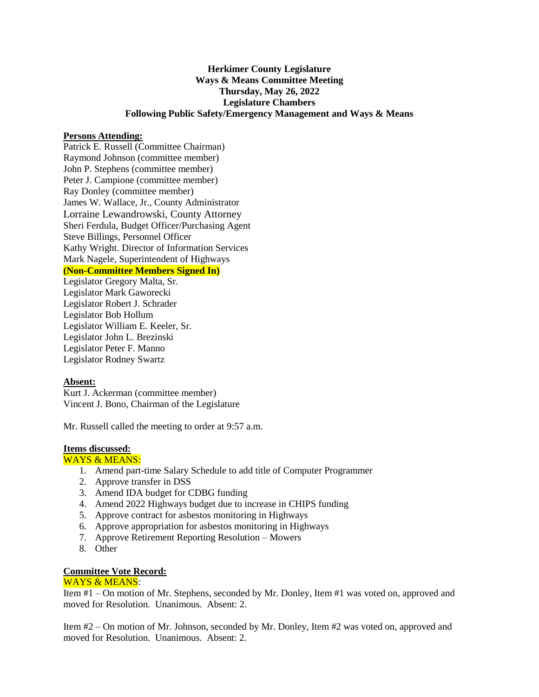# **Herkimer County Legislature Ways & Means Committee Meeting Thursday, May 26, 2022 Legislature Chambers Following Public Safety/Emergency Management and Ways & Means**

### **Persons Attending:**

Patrick E. Russell (Committee Chairman) Raymond Johnson (committee member) John P. Stephens (committee member) Peter J. Campione (committee member) Ray Donley (committee member) James W. Wallace, Jr., County Administrator Lorraine Lewandrowski, County Attorney Sheri Ferdula, Budget Officer/Purchasing Agent Steve Billings, Personnel Officer Kathy Wright. Director of Information Services Mark Nagele, Superintendent of Highways **(Non-Committee Members Signed In)** Legislator Gregory Malta, Sr.

Legislator Mark Gaworecki Legislator Robert J. Schrader Legislator Bob Hollum Legislator William E. Keeler, Sr. Legislator John L. Brezinski Legislator Peter F. Manno Legislator Rodney Swartz

# **Absent:**

Kurt J. Ackerman (committee member) Vincent J. Bono, Chairman of the Legislature

Mr. Russell called the meeting to order at 9:57 a.m.

### **Items discussed:**

WAYS & MEANS:

- 1. Amend part-time Salary Schedule to add title of Computer Programmer
- 2. Approve transfer in DSS
- 3. Amend IDA budget for CDBG funding
- 4. Amend 2022 Highways budget due to increase in CHIPS funding
- 5. Approve contract for asbestos monitoring in Highways
- 6. Approve appropriation for asbestos monitoring in Highways
- 7. Approve Retirement Reporting Resolution Mowers
- 8. Other

# **Committee Vote Record:**

#### WAYS & MEANS:

Item #1 – On motion of Mr. Stephens, seconded by Mr. Donley, Item #1 was voted on, approved and moved for Resolution. Unanimous. Absent: 2.

Item #2 – On motion of Mr. Johnson, seconded by Mr. Donley, Item #2 was voted on, approved and moved for Resolution. Unanimous. Absent: 2.